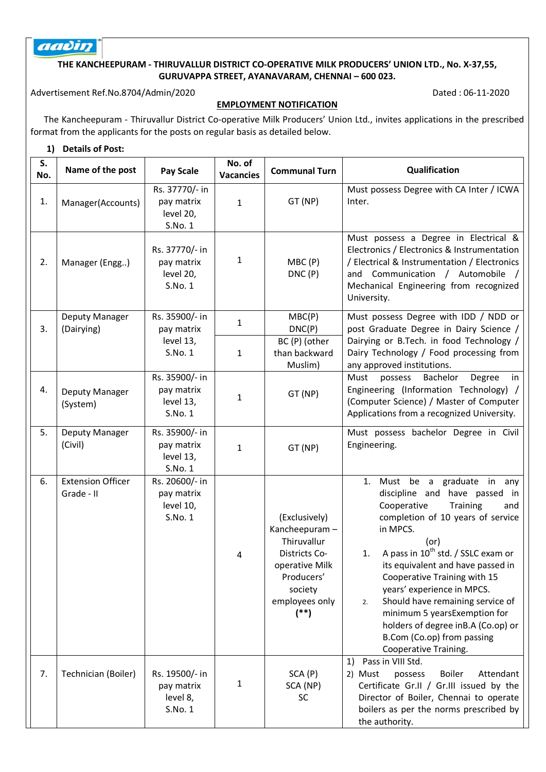# aadin

### **THE KANCHEEPURAM - THIRUVALLUR DISTRICT CO-OPERATIVE MILK PRODUCERS' UNION LTD., No. X-37,55, GURUVAPPA STREET, AYANAVARAM, CHENNAI – 600 023.**

Advertisement Ref.No.8704/Admin/2020 Dated: 06-11-2020

## **EMPLOYMENT NOTIFICATION**

 The Kancheepuram - Thiruvallur District Co-operative Milk Producers' Union Ltd., invites applications in the prescribed format from the applicants for the posts on regular basis as detailed below.

#### **1) Details of Post:**

| S.<br>No. | Name of the post                       | <b>Pay Scale</b>                                     | No. of<br><b>Vacancies</b>   | <b>Communal Turn</b>                                                                                                                 | Qualification                                                                                                                                                                                                                                                                                                                                                                                                                                                                               |  |  |  |
|-----------|----------------------------------------|------------------------------------------------------|------------------------------|--------------------------------------------------------------------------------------------------------------------------------------|---------------------------------------------------------------------------------------------------------------------------------------------------------------------------------------------------------------------------------------------------------------------------------------------------------------------------------------------------------------------------------------------------------------------------------------------------------------------------------------------|--|--|--|
| 1.        | Manager(Accounts)                      | Rs. 37770/- in<br>pay matrix<br>level 20,<br>S.No. 1 | $\mathbf{1}$                 | GT (NP)                                                                                                                              | Must possess Degree with CA Inter / ICWA<br>Inter.                                                                                                                                                                                                                                                                                                                                                                                                                                          |  |  |  |
| 2.        | Manager (Engg)                         | Rs. 37770/- in<br>pay matrix<br>level 20,<br>S.No. 1 | $\mathbf{1}$                 | MBC(P)<br>DNC(P)                                                                                                                     | Must possess a Degree in Electrical &<br>Electronics / Electronics & Instrumentation<br>/ Electrical & Instrumentation / Electronics<br>and Communication / Automobile /<br>Mechanical Engineering from recognized<br>University.                                                                                                                                                                                                                                                           |  |  |  |
| 3.        | Deputy Manager<br>(Dairying)           | Rs. 35900/- in<br>pay matrix<br>level 13,<br>S.No. 1 | $\mathbf{1}$<br>$\mathbf{1}$ | MBC(P)<br>DNC(P)<br>BC (P) (other<br>than backward                                                                                   | Must possess Degree with IDD / NDD or<br>post Graduate Degree in Dairy Science /<br>Dairying or B.Tech. in food Technology /<br>Dairy Technology / Food processing from                                                                                                                                                                                                                                                                                                                     |  |  |  |
| 4.        | Deputy Manager<br>(System)             | Rs. 35900/- in<br>pay matrix<br>level 13,<br>S.No. 1 | $\mathbf{1}$                 | Muslim)<br>GT (NP)                                                                                                                   | any approved institutions.<br>Must<br>possess<br>Bachelor<br>Degree<br>in<br>Engineering (Information Technology) /<br>(Computer Science) / Master of Computer<br>Applications from a recognized University.                                                                                                                                                                                                                                                                                |  |  |  |
| 5.        | Deputy Manager<br>(Civil)              | Rs. 35900/- in<br>pay matrix<br>level 13,<br>S.No. 1 | $\mathbf{1}$                 | GT (NP)                                                                                                                              | Must possess bachelor Degree in Civil<br>Engineering.                                                                                                                                                                                                                                                                                                                                                                                                                                       |  |  |  |
| 6.        | <b>Extension Officer</b><br>Grade - II | Rs. 20600/- in<br>pay matrix<br>level 10,<br>S.No. 1 | 4                            | (Exclusively)<br>Kancheepuram-<br>Thiruvallur<br>Districts Co-<br>operative Milk<br>Producers'<br>society<br>employees only<br>$(*)$ | 1. Must be a graduate in any<br>discipline and have passed in<br>Cooperative<br>Training<br>and<br>completion of 10 years of service<br>in MPCS.<br>(or)<br>A pass in 10 <sup>th</sup> std. / SSLC exam or<br>1.<br>its equivalent and have passed in<br>Cooperative Training with 15<br>years' experience in MPCS.<br>Should have remaining service of<br>2.<br>minimum 5 yearsExemption for<br>holders of degree in B.A (Co.op) or<br>B.Com (Co.op) from passing<br>Cooperative Training. |  |  |  |
| 7.        | Technician (Boiler)                    | Rs. 19500/- in<br>pay matrix<br>level 8,<br>S.No. 1  | $\mathbf{1}$                 | SCA(P)<br>SCA (NP)<br><b>SC</b>                                                                                                      | Pass in VIII Std.<br>1)<br><b>Boiler</b><br>Attendant<br>2) Must<br>possess<br>Certificate Gr.II / Gr.III issued by the<br>Director of Boiler, Chennai to operate<br>boilers as per the norms prescribed by<br>the authority.                                                                                                                                                                                                                                                               |  |  |  |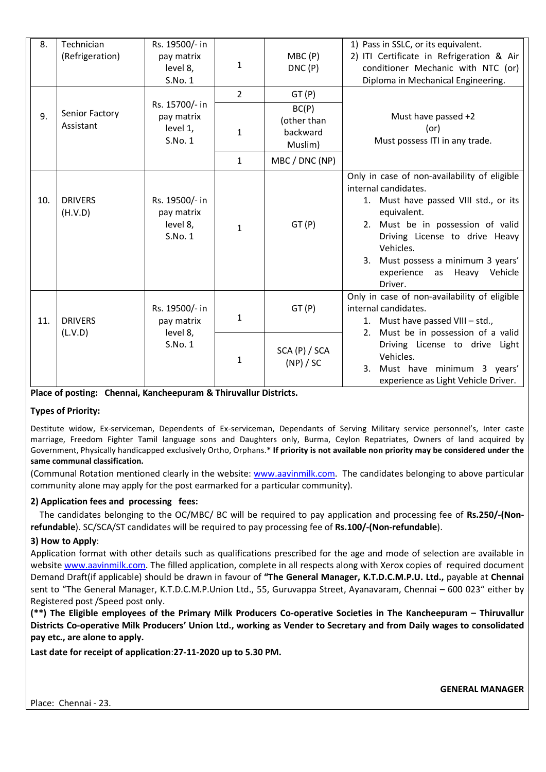| 8.  | Technician      | Rs. 19500/- in |                |                | 1) Pass in SSLC, or its equivalent.          |
|-----|-----------------|----------------|----------------|----------------|----------------------------------------------|
|     | (Refrigeration) | pay matrix     | 1              | MBC(P)         | 2) ITI Certificate in Refrigeration & Air    |
|     |                 | level 8,       |                | DNC(P)         | conditioner Mechanic with NTC (or)           |
|     |                 | S.No. 1        |                |                | Diploma in Mechanical Engineering.           |
|     |                 |                | $\overline{2}$ | GT(P)          |                                              |
|     | Senior Factory  | Rs. 15700/- in |                | BC(P)          |                                              |
| 9.  | Assistant       | pay matrix     |                | (other than    | Must have passed +2                          |
|     |                 | level 1,       | $\mathbf{1}$   | backward       | (or)                                         |
|     |                 | S.No.1         |                | Muslim)        | Must possess ITI in any trade.               |
|     |                 |                | $\mathbf{1}$   | MBC / DNC (NP) |                                              |
|     |                 |                |                |                | Only in case of non-availability of eligible |
|     |                 |                |                |                | internal candidates.                         |
| 10. | <b>DRIVERS</b>  | Rs. 19500/- in |                |                | 1. Must have passed VIII std., or its        |
|     | (H.V.D)         | pay matrix     |                |                | equivalent.                                  |
|     |                 | level 8,       | $\mathbf{1}$   | GT(P)          | Must be in possession of valid<br>2.         |
|     |                 | S.No. 1        |                |                | Driving License to drive Heavy               |
|     |                 |                |                |                | Vehicles.                                    |
|     |                 |                |                |                | Must possess a minimum 3 years'<br>3.        |
|     |                 |                |                |                | experience<br>as Heavy<br>Vehicle            |
|     |                 |                |                |                | Driver.                                      |
|     |                 |                |                |                | Only in case of non-availability of eligible |
|     |                 | Rs. 19500/- in |                | GT(P)          | internal candidates.                         |
| 11. | <b>DRIVERS</b>  | pay matrix     | $\mathbf{1}$   |                | 1. Must have passed VIII - std.,             |
|     | (L.V.D)         | level 8,       |                |                | Must be in possession of a valid<br>2.       |
|     |                 | S.No. 1        |                | SCA (P) / SCA  | Driving License to drive Light               |
|     |                 |                | $\mathbf{1}$   | (NP) / SC      | Vehicles.                                    |
|     |                 |                |                |                | Must have minimum 3 years'<br>3.             |
|     |                 |                |                |                | experience as Light Vehicle Driver.          |

**Place of posting: Chennai, Kancheepuram & Thiruvallur Districts.** 

# **Types of Priority:**

Destitute widow, Ex-serviceman, Dependents of Ex-serviceman, Dependants of Serving Military service personnel's, Inter caste marriage, Freedom Fighter Tamil language sons and Daughters only, Burma, Ceylon Repatriates, Owners of land acquired by Government, Physically handicapped exclusively Ortho, Orphans.**\* If priority is not available non priority may be considered under the same communal classification.** 

(Communal Rotation mentioned clearly in the website: www.aavinmilk.com. The candidates belonging to above particular community alone may apply for the post earmarked for a particular community).

# **2) Application fees and processing fees:**

 The candidates belonging to the OC/MBC/ BC will be required to pay application and processing fee of **Rs.250/-(Nonrefundable**). SC/SCA/ST candidates will be required to pay processing fee of **Rs.100/-(Non-refundable**).

# **3) How to Apply**:

Application format with other details such as qualifications prescribed for the age and mode of selection are available in website www.aavinmilk.com. The filled application, complete in all respects along with Xerox copies of required document Demand Draft(if applicable) should be drawn in favour of **"The General Manager, K.T.D.C.M.P.U. Ltd.,** payable at **Chennai**  sent to "The General Manager, K.T.D.C.M.P.Union Ltd., 55, Guruvappa Street, Ayanavaram, Chennai – 600 023" either by Registered post /Speed post only.

**(\*\*) The Eligible employees of the Primary Milk Producers Co-operative Societies in The Kancheepuram – Thiruvallur Districts Co-operative Milk Producers' Union Ltd., working as Vender to Secretary and from Daily wages to consolidated pay etc., are alone to apply.** 

**Last date for receipt of application**:**27-11-2020 up to 5.30 PM.**

**GENERAL MANAGER**

Place: Chennai - 23.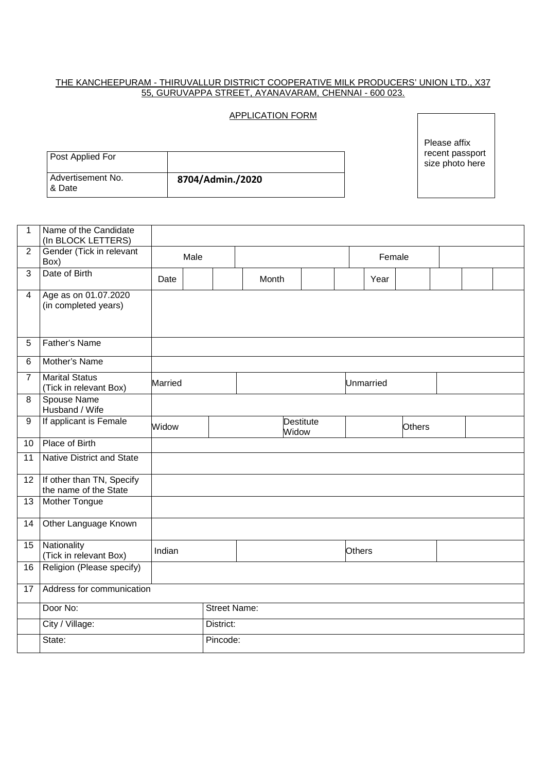#### THE KANCHEEPURAM - THIRUVALLUR DISTRICT COOPERATIVE MILK PRODUCERS' UNION LTD., X37 55, GURUVAPPA STREET, AYANAVARAM, CHENNAI - 600 023.

## APPLICATION FORM

Please affix recent passport size photo here

| Post Applied For             |                  |
|------------------------------|------------------|
| Advertisement No.<br>1& Date | 8704/Admin./2020 |

| 1               | Name of the Candidate<br>(In BLOCK LETTERS)        |                |           |                     |                    |        |           |               |  |  |
|-----------------|----------------------------------------------------|----------------|-----------|---------------------|--------------------|--------|-----------|---------------|--|--|
| $\overline{2}$  | Gender (Tick in relevant                           |                | Male      |                     |                    |        | Female    |               |  |  |
|                 | Box)                                               |                |           |                     |                    |        |           |               |  |  |
| 3               | Date of Birth                                      | Date           |           | Month               |                    |        | Year      |               |  |  |
| $\overline{4}$  | Age as on 01.07.2020<br>(in completed years)       |                |           |                     |                    |        |           |               |  |  |
| 5               | <b>Father's Name</b>                               |                |           |                     |                    |        |           |               |  |  |
| 6               | Mother's Name                                      |                |           |                     |                    |        |           |               |  |  |
| $\overline{7}$  | <b>Marital Status</b><br>(Tick in relevant Box)    | <b>Married</b> |           |                     |                    |        | Unmarried |               |  |  |
| 8               | Spouse Name<br>Husband / Wife                      |                |           |                     |                    |        |           |               |  |  |
| 9               | If applicant is Female                             | Widow          |           |                     | Destitute<br>Widow |        |           | <b>Others</b> |  |  |
| 10              | Place of Birth                                     |                |           |                     |                    |        |           |               |  |  |
| 11              | <b>Native District and State</b>                   |                |           |                     |                    |        |           |               |  |  |
| 12 <sup>2</sup> | If other than TN, Specify<br>the name of the State |                |           |                     |                    |        |           |               |  |  |
| 13              | <b>Mother Tongue</b>                               |                |           |                     |                    |        |           |               |  |  |
| 14              | Other Language Known                               |                |           |                     |                    |        |           |               |  |  |
| 15              | Nationality<br>(Tick in relevant Box)              | Indian         |           |                     |                    | Others |           |               |  |  |
| 16              | Religion (Please specify)                          |                |           |                     |                    |        |           |               |  |  |
| 17              | Address for communication                          |                |           |                     |                    |        |           |               |  |  |
|                 | Door No:                                           |                |           | <b>Street Name:</b> |                    |        |           |               |  |  |
|                 | City / Village:                                    |                | District: |                     |                    |        |           |               |  |  |
|                 | State:                                             |                | Pincode:  |                     |                    |        |           |               |  |  |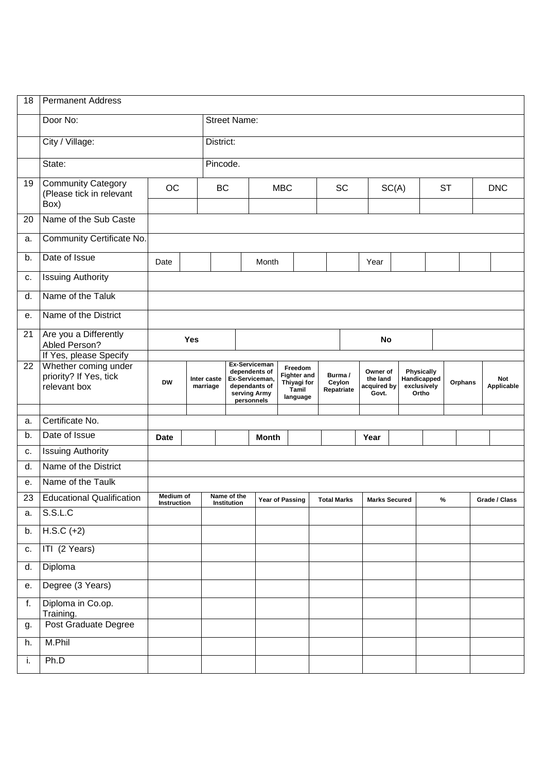| 18              | <b>Permanent Address</b>                                         |                                 |                     |                         |                                   |                                                                                                 |                 |                                                                                                     |                    |  |                                              |       |                                  |                      |         |  |                   |
|-----------------|------------------------------------------------------------------|---------------------------------|---------------------|-------------------------|-----------------------------------|-------------------------------------------------------------------------------------------------|-----------------|-----------------------------------------------------------------------------------------------------|--------------------|--|----------------------------------------------|-------|----------------------------------|----------------------|---------|--|-------------------|
|                 | Door No:                                                         |                                 | <b>Street Name:</b> |                         |                                   |                                                                                                 |                 |                                                                                                     |                    |  |                                              |       |                                  |                      |         |  |                   |
|                 | City / Village:                                                  |                                 | District:           |                         |                                   |                                                                                                 |                 |                                                                                                     |                    |  |                                              |       |                                  |                      |         |  |                   |
|                 | State:                                                           |                                 |                     | Pincode.                |                                   |                                                                                                 |                 |                                                                                                     |                    |  |                                              |       |                                  |                      |         |  |                   |
| 19              | <b>Community Category</b><br>(Please tick in relevant<br>Box)    | <b>OC</b>                       |                     | <b>BC</b>               |                                   | <b>MBC</b>                                                                                      |                 |                                                                                                     | SC                 |  |                                              | SC(A) |                                  | <b>ST</b>            |         |  | <b>DNC</b>        |
| 20              | Name of the Sub Caste                                            |                                 |                     |                         |                                   |                                                                                                 |                 |                                                                                                     |                    |  |                                              |       |                                  |                      |         |  |                   |
| a.              | Community Certificate No.                                        |                                 |                     |                         |                                   |                                                                                                 |                 |                                                                                                     |                    |  |                                              |       |                                  |                      |         |  |                   |
| b.              | Date of Issue                                                    | Date                            |                     |                         |                                   | Month                                                                                           |                 |                                                                                                     |                    |  | Year                                         |       |                                  |                      |         |  |                   |
| c.              | <b>Issuing Authority</b>                                         |                                 |                     |                         |                                   |                                                                                                 |                 |                                                                                                     |                    |  |                                              |       |                                  |                      |         |  |                   |
| d.              | Name of the Taluk                                                |                                 |                     |                         |                                   |                                                                                                 |                 |                                                                                                     |                    |  |                                              |       |                                  |                      |         |  |                   |
| е.              | Name of the District                                             |                                 |                     |                         |                                   |                                                                                                 |                 |                                                                                                     |                    |  |                                              |       |                                  |                      |         |  |                   |
| 21              | Are you a Differently<br>Abled Person?<br>If Yes, please Specify |                                 | Yes                 |                         |                                   |                                                                                                 |                 |                                                                                                     |                    |  |                                              | No    |                                  |                      |         |  |                   |
| $\overline{22}$ | Whether coming under<br>priority? If Yes, tick<br>relevant box   | <b>DW</b>                       |                     | Inter caste<br>marriage |                                   | Ex-Serviceman<br>dependents of<br>Ex-Serviceman,<br>dependants of<br>serving Army<br>personnels |                 | Freedom<br>Burma/<br><b>Fighter and</b><br>Thiyagi for<br>Ceylon<br>Repatriate<br>Tamil<br>language |                    |  | Owner of<br>the land<br>acquired by<br>Govt. |       | <b>Physically</b><br>exclusively | Handicapped<br>Ortho | Orphans |  | Not<br>Applicable |
| a.              | Certificate No.                                                  |                                 |                     |                         |                                   |                                                                                                 |                 |                                                                                                     |                    |  |                                              |       |                                  |                      |         |  |                   |
| b.              | Date of Issue                                                    | <b>Date</b>                     |                     |                         |                                   | <b>Month</b>                                                                                    |                 |                                                                                                     |                    |  | Year                                         |       |                                  |                      |         |  |                   |
| c.              | <b>Issuing Authority</b>                                         |                                 |                     |                         |                                   |                                                                                                 |                 |                                                                                                     |                    |  |                                              |       |                                  |                      |         |  |                   |
| d.              | Name of the District                                             |                                 |                     |                         |                                   |                                                                                                 |                 |                                                                                                     |                    |  |                                              |       |                                  |                      |         |  |                   |
| е.              | Name of the Taulk                                                |                                 |                     |                         |                                   |                                                                                                 |                 |                                                                                                     |                    |  |                                              |       |                                  |                      |         |  |                   |
| 23              | <b>Educational Qualification</b>                                 | Medium of<br><b>Instruction</b> |                     |                         | Name of the<br><b>Institution</b> |                                                                                                 | Year of Passing |                                                                                                     | <b>Total Marks</b> |  | <b>Marks Secured</b>                         |       |                                  | %                    |         |  | Grade / Class     |
| a.              | S.S.L.C                                                          |                                 |                     |                         |                                   |                                                                                                 |                 |                                                                                                     |                    |  |                                              |       |                                  |                      |         |  |                   |
| b.              | $H.S.C (+2)$                                                     |                                 |                     |                         |                                   |                                                                                                 |                 |                                                                                                     |                    |  |                                              |       |                                  |                      |         |  |                   |
| c.              | ITI (2 Years)                                                    |                                 |                     |                         |                                   |                                                                                                 |                 |                                                                                                     |                    |  |                                              |       |                                  |                      |         |  |                   |
| d.              | Diploma                                                          |                                 |                     |                         |                                   |                                                                                                 |                 |                                                                                                     |                    |  |                                              |       |                                  |                      |         |  |                   |
| е.              | Degree (3 Years)                                                 |                                 |                     |                         |                                   |                                                                                                 |                 |                                                                                                     |                    |  |                                              |       |                                  |                      |         |  |                   |
| f.              | Diploma in Co.op.<br>Training.                                   |                                 |                     |                         |                                   |                                                                                                 |                 |                                                                                                     |                    |  |                                              |       |                                  |                      |         |  |                   |
| g.              | Post Graduate Degree                                             |                                 |                     |                         |                                   |                                                                                                 |                 |                                                                                                     |                    |  |                                              |       |                                  |                      |         |  |                   |
| h.              | M.Phil                                                           |                                 |                     |                         |                                   |                                                                                                 |                 |                                                                                                     |                    |  |                                              |       |                                  |                      |         |  |                   |
| i.              | Ph.D                                                             |                                 |                     |                         |                                   |                                                                                                 |                 |                                                                                                     |                    |  |                                              |       |                                  |                      |         |  |                   |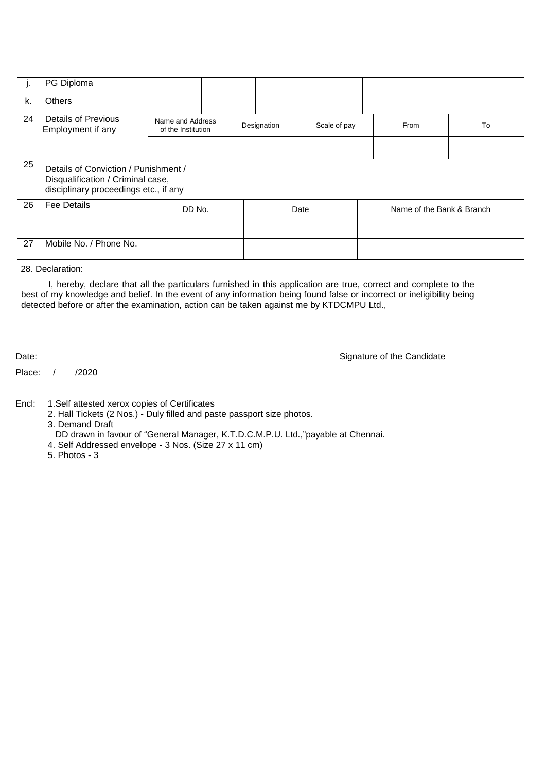| J. | PG Diploma                                                                                                         |                                        |  |             |      |              |                           |      |  |    |
|----|--------------------------------------------------------------------------------------------------------------------|----------------------------------------|--|-------------|------|--------------|---------------------------|------|--|----|
| k. | <b>Others</b>                                                                                                      |                                        |  |             |      |              |                           |      |  |    |
| 24 | <b>Details of Previous</b><br>Employment if any                                                                    | Name and Address<br>of the Institution |  | Designation |      | Scale of pay |                           | From |  | To |
| 25 | Details of Conviction / Punishment /<br>Disqualification / Criminal case,<br>disciplinary proceedings etc., if any |                                        |  |             |      |              |                           |      |  |    |
| 26 | <b>Fee Details</b>                                                                                                 | DD No.                                 |  |             | Date |              | Name of the Bank & Branch |      |  |    |
|    |                                                                                                                    |                                        |  |             |      |              |                           |      |  |    |
| 27 | Mobile No. / Phone No.                                                                                             |                                        |  |             |      |              |                           |      |  |    |

28. Declaration:

I, hereby, declare that all the particulars furnished in this application are true, correct and complete to the best of my knowledge and belief. In the event of any information being found false or incorrect or ineligibility being detected before or after the examination, action can be taken against me by KTDCMPU Ltd.,

Date: Signature of the Candidate

Place: / /2020

Encl: 1.Self attested xerox copies of Certificates

2. Hall Tickets (2 Nos.) - Duly filled and paste passport size photos.

3. Demand Draft

DD drawn in favour of "General Manager, K.T.D.C.M.P.U. Ltd.,"payable at Chennai.

- 4. Self Addressed envelope 3 Nos. (Size 27 x 11 cm)
- 5. Photos 3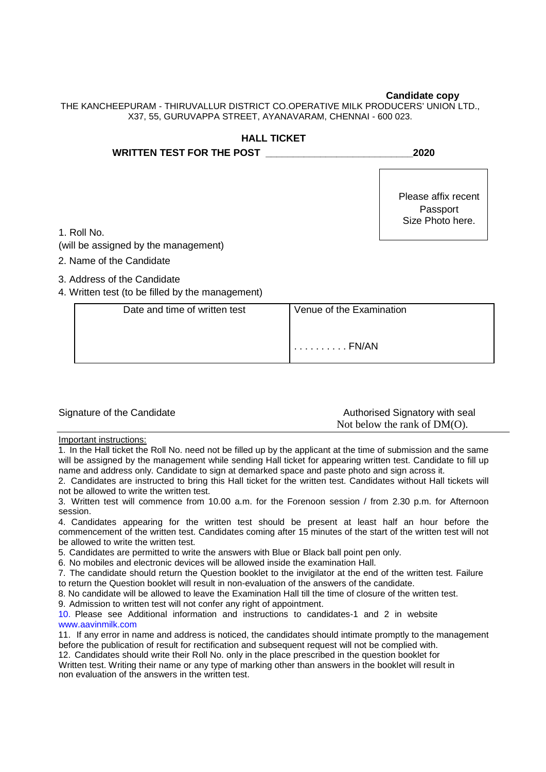#### **Candidate copy**

THE KANCHEEPURAM - THIRUVALLUR DISTRICT CO.OPERATIVE MILK PRODUCERS' UNION LTD., X37, 55, GURUVAPPA STREET, AYANAVARAM, CHENNAI - 600 023.

| <b>HALL TICKET</b>                   |                                                     |
|--------------------------------------|-----------------------------------------------------|
| <b>WRITTEN TEST FOR THE POST</b>     | 2020                                                |
| 1. Roll No.                          | Please affix recent<br>Passport<br>Size Photo here. |
| (will be assigned by the management) |                                                     |
| 2. Name of the Candidate             |                                                     |
| 3. Address of the Candidate          |                                                     |

4. Written test (to be filled by the management)

| Date and time of written test | Venue of the Examination |
|-------------------------------|--------------------------|
|                               | . FN/AN                  |
|                               |                          |

|  |  | Signature of the Candidate |
|--|--|----------------------------|
|--|--|----------------------------|

Authorised Signatory with seal Not below the rank of DM(O).

Important instructions:

1. In the Hall ticket the Roll No. need not be filled up by the applicant at the time of submission and the same will be assigned by the management while sending Hall ticket for appearing written test. Candidate to fill up name and address only. Candidate to sign at demarked space and paste photo and sign across it.

2. Candidates are instructed to bring this Hall ticket for the written test. Candidates without Hall tickets will not be allowed to write the written test.

3. Written test will commence from 10.00 a.m. for the Forenoon session / from 2.30 p.m. for Afternoon session.

4. Candidates appearing for the written test should be present at least half an hour before the commencement of the written test. Candidates coming after 15 minutes of the start of the written test will not be allowed to write the written test.

5. Candidates are permitted to write the answers with Blue or Black ball point pen only.

6. No mobiles and electronic devices will be allowed inside the examination Hall.

7. The candidate should return the Question booklet to the invigilator at the end of the written test. Failure to return the Question booklet will result in non-evaluation of the answers of the candidate.

8. No candidate will be allowed to leave the Examination Hall till the time of closure of the written test.

9. Admission to written test will not confer any right of appointment.

10. Please see Additional information and instructions to candidates-1 and 2 in website www.aavinmilk.com

11. If any error in name and address is noticed, the candidates should intimate promptly to the management before the publication of result for rectification and subsequent request will not be complied with.

12. Candidates should write their Roll No. only in the place prescribed in the question booklet for

Written test. Writing their name or any type of marking other than answers in the booklet will result in non evaluation of the answers in the written test.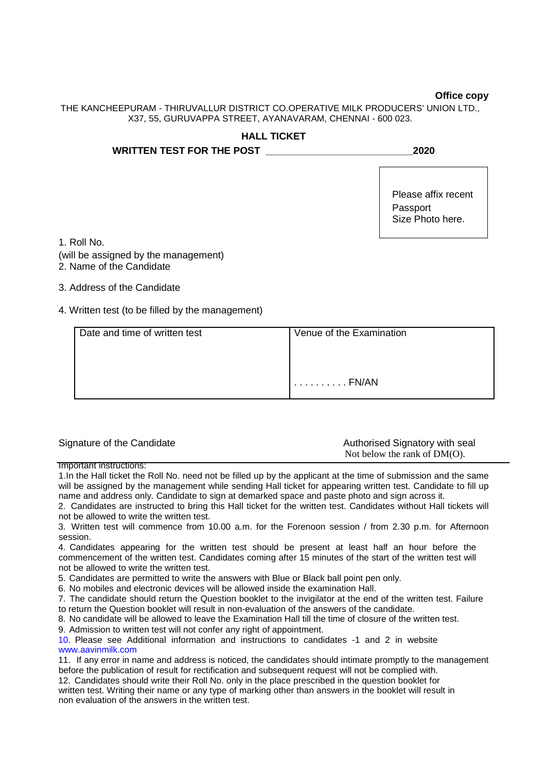#### **Office copy**

THE KANCHEEPURAM - THIRUVALLUR DISTRICT CO.OPERATIVE MILK PRODUCERS' UNION LTD., X37, 55, GURUVAPPA STREET, AYANAVARAM, CHENNAI - 600 023.

# **HALL TICKET WRITTEN TEST FOR THE POST \_\_\_\_\_\_\_\_\_\_\_\_\_\_\_\_\_\_\_\_\_\_\_\_\_\_\_2020** Please affix recent Passport Size Photo here.

1. Roll No.

- (will be assigned by the management)
- 2. Name of the Candidate
- 3. Address of the Candidate
- 4. Written test (to be filled by the management)

| Date and time of written test | Venue of the Examination |
|-------------------------------|--------------------------|
|                               |                          |
|                               |                          |
|                               | . FN/AN                  |
|                               |                          |

| Signature of the Candidate | Authorised Signatory with seal  |
|----------------------------|---------------------------------|
|                            | Not below the rank of $DM(O)$ . |

Important instructions:

1.In the Hall ticket the Roll No. need not be filled up by the applicant at the time of submission and the same will be assigned by the management while sending Hall ticket for appearing written test. Candidate to fill up name and address only. Candidate to sign at demarked space and paste photo and sign across it.

2. Candidates are instructed to bring this Hall ticket for the written test. Candidates without Hall tickets will not be allowed to write the written test.

3. Written test will commence from 10.00 a.m. for the Forenoon session / from 2.30 p.m. for Afternoon session.

4. Candidates appearing for the written test should be present at least half an hour before the commencement of the written test. Candidates coming after 15 minutes of the start of the written test will not be allowed to write the written test.

5. Candidates are permitted to write the answers with Blue or Black ball point pen only.

6. No mobiles and electronic devices will be allowed inside the examination Hall.

7. The candidate should return the Question booklet to the invigilator at the end of the written test. Failure to return the Question booklet will result in non-evaluation of the answers of the candidate.

8. No candidate will be allowed to leave the Examination Hall till the time of closure of the written test.

9. Admission to written test will not confer any right of appointment.

10. Please see Additional information and instructions to candidates -1 and 2 in website www.aavinmilk.com

11. If any error in name and address is noticed, the candidates should intimate promptly to the management before the publication of result for rectification and subsequent request will not be complied with.

12. Candidates should write their Roll No. only in the place prescribed in the question booklet for written test. Writing their name or any type of marking other than answers in the booklet will result in non evaluation of the answers in the written test.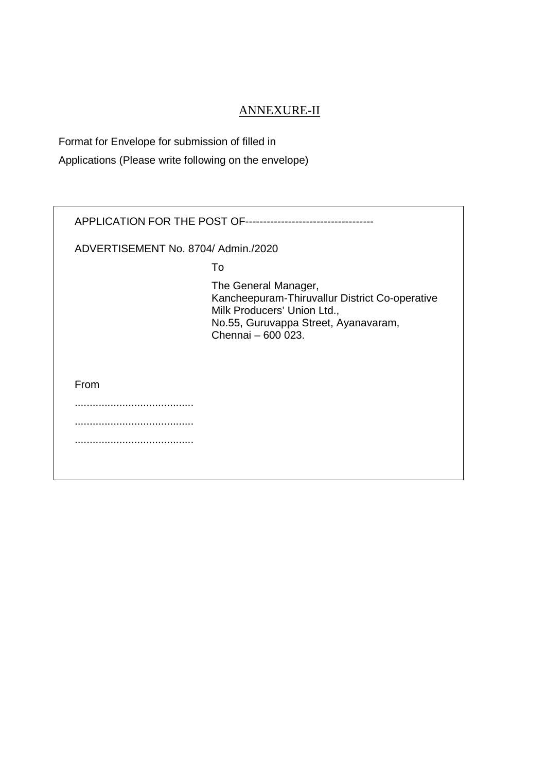# ANNEXURE-II

Format for Envelope for submission of filled in

Applications (Please write following on the envelope)

| APPLICATION FOR THE POST OF---------------------------------- |                                                                                                                                                                     |  |  |  |  |  |
|---------------------------------------------------------------|---------------------------------------------------------------------------------------------------------------------------------------------------------------------|--|--|--|--|--|
| ADVERTISEMENT No. 8704/ Admin./2020                           |                                                                                                                                                                     |  |  |  |  |  |
|                                                               | To                                                                                                                                                                  |  |  |  |  |  |
|                                                               | The General Manager,<br>Kancheepuram-Thiruvallur District Co-operative<br>Milk Producers' Union Ltd.,<br>No.55, Guruvappa Street, Ayanavaram,<br>Chennai - 600 023. |  |  |  |  |  |
| From                                                          |                                                                                                                                                                     |  |  |  |  |  |
|                                                               |                                                                                                                                                                     |  |  |  |  |  |
|                                                               |                                                                                                                                                                     |  |  |  |  |  |
|                                                               |                                                                                                                                                                     |  |  |  |  |  |
|                                                               |                                                                                                                                                                     |  |  |  |  |  |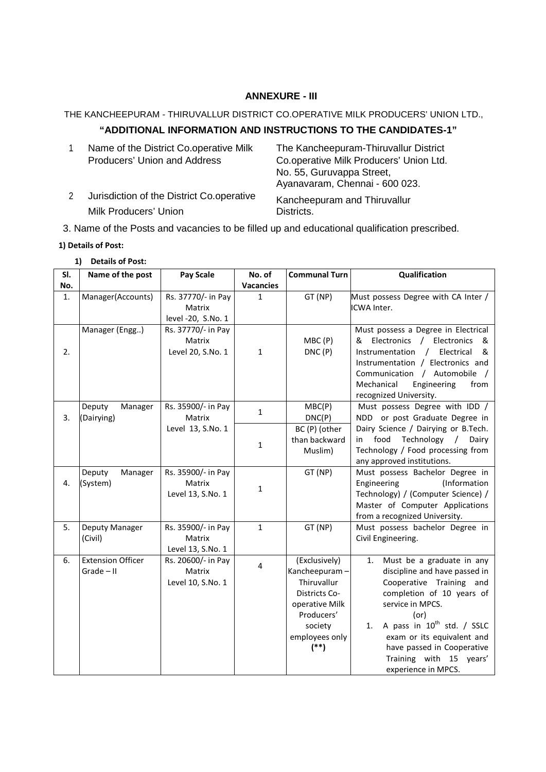## **ANNEXURE - III**

#### THE KANCHEEPURAM - THIRUVALLUR DISTRICT CO.OPERATIVE MILK PRODUCERS' UNION LTD.,

# **"ADDITIONAL INFORMATION AND INSTRUCTIONS TO THE CANDIDATES-1"**

|   | Name of the District Co.operative Milk    | The Kancheepuram-Thiruvallur District   |
|---|-------------------------------------------|-----------------------------------------|
|   | Producers' Union and Address              | Co.operative Milk Producers' Union Ltd. |
|   |                                           | No. 55, Guruvappa Street,               |
|   |                                           | Ayanavaram, Chennai - 600 023.          |
| 2 | Jurisdiction of the District Co.operative | Kancheepuram and Thiruvallur            |
|   | Milk Producers' Union                     | Districts.                              |

3. Name of the Posts and vacancies to be filled up and educational qualification prescribed.

#### **1) Details of Post:**

#### **1) Details of Post:**

| SI. | Name of the post              | <b>Pay Scale</b>   | No. of           | <b>Communal Turn</b> | Qualification                                                 |
|-----|-------------------------------|--------------------|------------------|----------------------|---------------------------------------------------------------|
| No. |                               |                    | <b>Vacancies</b> |                      |                                                               |
| 1.  | Manager(Accounts)             | Rs. 37770/- in Pay | $\mathbf{1}$     | GT (NP)              | Must possess Degree with CA Inter /                           |
|     |                               | Matrix             |                  |                      | ICWA Inter.                                                   |
|     |                               | level -20, S.No. 1 |                  |                      |                                                               |
|     | Manager (Engg)                | Rs. 37770/- in Pay |                  |                      | Must possess a Degree in Electrical                           |
|     |                               | Matrix             |                  | MBC(P)               | Electronics<br>/ Electronics<br>&<br>&                        |
| 2.  |                               | Level 20, S.No. 1  | $\mathbf{1}$     | DNC(P)               | Electrical<br>Instrumentation<br>&<br>$\sqrt{2}$              |
|     |                               |                    |                  |                      | Instrumentation / Electronics and                             |
|     |                               |                    |                  |                      | Communication / Automobile /                                  |
|     |                               |                    |                  |                      | Mechanical<br>Engineering<br>from                             |
|     |                               |                    |                  |                      | recognized University.                                        |
|     | Manager<br>Deputy             | Rs. 35900/- in Pay | $\mathbf{1}$     | MBC(P)               | Must possess Degree with IDD /                                |
| 3.  | (Dairying)                    | Matrix             |                  | DNC(P)               | NDD or post Graduate Degree in                                |
|     |                               | Level 13, S.No. 1  |                  | BC (P) (other        | Dairy Science / Dairying or B.Tech.                           |
|     |                               |                    | $\mathbf{1}$     | than backward        | food<br>Technology /<br>Dairy<br>in                           |
|     |                               |                    |                  | Muslim)              | Technology / Food processing from                             |
|     |                               | Rs. 35900/- in Pay |                  | GT (NP)              | any approved institutions.<br>Must possess Bachelor Degree in |
| 4.  | Manager<br>Deputy<br>(System) | Matrix             |                  |                      | (Information<br>Engineering                                   |
|     |                               | Level 13, S.No. 1  | $\mathbf{1}$     |                      | Technology) / (Computer Science) /                            |
|     |                               |                    |                  |                      | Master of Computer Applications                               |
|     |                               |                    |                  |                      | from a recognized University.                                 |
| 5.  | Deputy Manager                | Rs. 35900/- in Pay | $\mathbf{1}$     | GT (NP)              | Must possess bachelor Degree in                               |
|     | (Civil)                       | Matrix             |                  |                      | Civil Engineering.                                            |
|     |                               | Level 13, S.No. 1  |                  |                      |                                                               |
| 6.  | <b>Extension Officer</b>      | Rs. 20600/- in Pay |                  | (Exclusively)        | Must be a graduate in any<br>1.                               |
|     | $Grade - II$                  | Matrix             | 4                | Kancheepuram-        | discipline and have passed in                                 |
|     |                               | Level 10, S.No. 1  |                  | Thiruvallur          | Cooperative Training and                                      |
|     |                               |                    |                  | Districts Co-        | completion of 10 years of                                     |
|     |                               |                    |                  | operative Milk       | service in MPCS.                                              |
|     |                               |                    |                  | Producers'           | (or)                                                          |
|     |                               |                    |                  | society              | A pass in 10 <sup>th</sup> std. / SSLC<br>1.                  |
|     |                               |                    |                  | employees only       | exam or its equivalent and                                    |
|     |                               |                    |                  | $(**)$               | have passed in Cooperative                                    |
|     |                               |                    |                  |                      | Training with 15 years'                                       |
|     |                               |                    |                  |                      | experience in MPCS.                                           |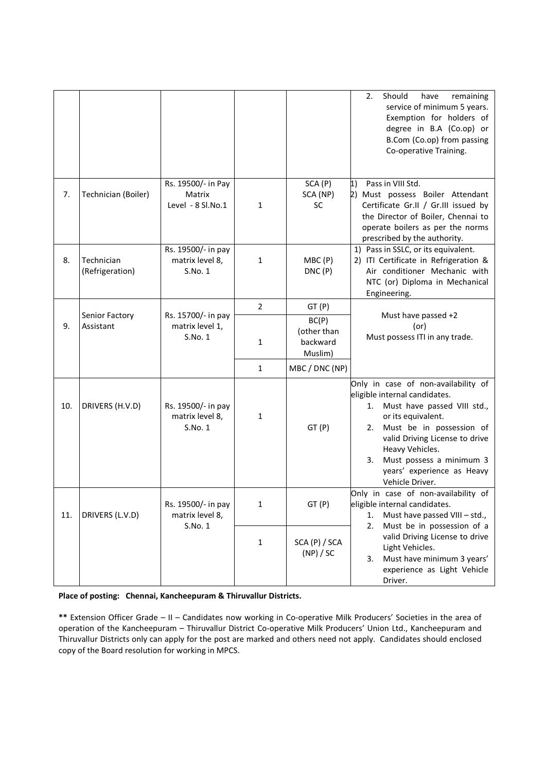|     |                               |                                                   |                |                                             | Should<br>remaining<br>2.<br>have<br>service of minimum 5 years.<br>Exemption for holders of<br>degree in B.A (Co.op) or<br>B.Com (Co.op) from passing<br>Co-operative Training.                                                                                                                       |  |
|-----|-------------------------------|---------------------------------------------------|----------------|---------------------------------------------|--------------------------------------------------------------------------------------------------------------------------------------------------------------------------------------------------------------------------------------------------------------------------------------------------------|--|
| 7.  | Technician (Boiler)           | Rs. 19500/- in Pay<br>Matrix<br>Level - 8 Sl.No.1 | $\mathbf{1}$   | SCA (P)<br>SCA (NP)<br>SC                   | 1)<br>Pass in VIII Std.<br>2) Must possess Boiler Attendant<br>Certificate Gr.II / Gr.III issued by<br>the Director of Boiler, Chennai to<br>operate boilers as per the norms<br>prescribed by the authority.                                                                                          |  |
| 8.  | Technician<br>(Refrigeration) | Rs. 19500/- in pay<br>matrix level 8,<br>S.No.1   | $\mathbf{1}$   | MBC(P)<br>DNC(P)                            | 1) Pass in SSLC, or its equivalent.<br>2) ITI Certificate in Refrigeration &<br>Air conditioner Mechanic with<br>NTC (or) Diploma in Mechanical<br>Engineering.                                                                                                                                        |  |
|     |                               |                                                   | $\overline{2}$ | GT(P)                                       |                                                                                                                                                                                                                                                                                                        |  |
| 9.  | Senior Factory<br>Assistant   | Rs. 15700/- in pay<br>matrix level 1,<br>S.No. 1  | 1              | BC(P)<br>(other than<br>backward<br>Muslim) | Must have passed +2<br>(or)<br>Must possess ITI in any trade.                                                                                                                                                                                                                                          |  |
|     |                               |                                                   | $\mathbf{1}$   | MBC / DNC (NP)                              |                                                                                                                                                                                                                                                                                                        |  |
| 10. | DRIVERS (H.V.D)               | Rs. 19500/- in pay<br>matrix level 8,<br>S.No. 1  | $\mathbf{1}$   | GT(P)                                       | Only in case of non-availability of<br>eligible internal candidates.<br>1. Must have passed VIII std.,<br>or its equivalent.<br>Must be in possession of<br>2.<br>valid Driving License to drive<br>Heavy Vehicles.<br>Must possess a minimum 3<br>3.<br>years' experience as Heavy<br>Vehicle Driver. |  |
| 11. | DRIVERS (L.V.D)               | Rs. 19500/- in pay<br>matrix level 8,             | 1              | GT(P)                                       | Only in case of non-availability of<br>eligible internal candidates.<br>Must have passed VIII - std.,<br>1.<br>Must be in possession of a<br>2.<br>valid Driving License to drive<br>Light Vehicles.<br>Must have minimum 3 years'<br>3.<br>experience as Light Vehicle<br>Driver.                     |  |
|     |                               | S.No. 1                                           | $\mathbf{1}$   | SCA (P) / SCA<br>(NP) / SC                  |                                                                                                                                                                                                                                                                                                        |  |

**Place of posting: Chennai, Kancheepuram & Thiruvallur Districts.** 

**\*\*** Extension Officer Grade – II – Candidates now working in Co-operative Milk Producers' Societies in the area of operation of the Kancheepuram – Thiruvallur District Co-operative Milk Producers' Union Ltd., Kancheepuram and Thiruvallur Districts only can apply for the post are marked and others need not apply. Candidates should enclosed copy of the Board resolution for working in MPCS.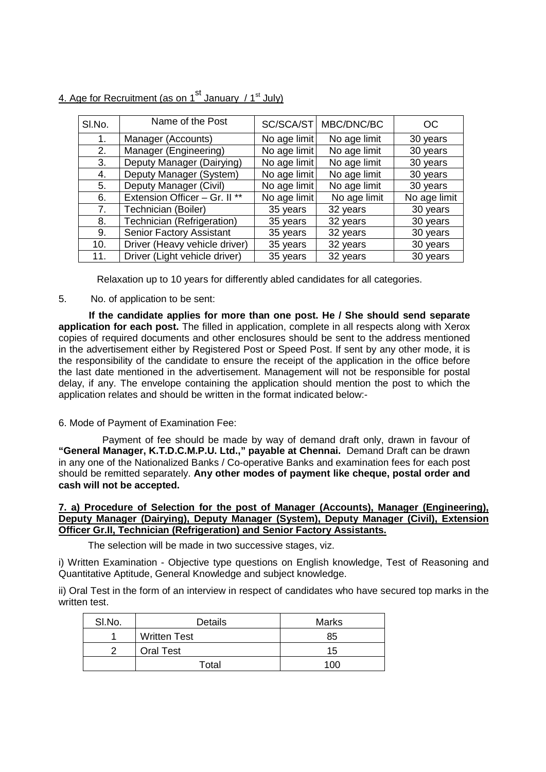| SI.No. | Name of the Post              |              | SC/SCA/ST   MBC/DNC/BC | OC           |
|--------|-------------------------------|--------------|------------------------|--------------|
| 1.     | Manager (Accounts)            | No age limit | No age limit           | 30 years     |
| 2.     | Manager (Engineering)         | No age limit | No age limit           | 30 years     |
| 3.     | Deputy Manager (Dairying)     | No age limit | No age limit           | 30 years     |
| 4.     | Deputy Manager (System)       | No age limit | No age limit           | 30 years     |
| 5.     | Deputy Manager (Civil)        | No age limit | No age limit           | 30 years     |
| 6.     | Extension Officer - Gr. II ** | No age limit | No age limit           | No age limit |
| 7.     | Technician (Boiler)           | 35 years     | 32 years               | 30 years     |
| 8.     | Technician (Refrigeration)    | 35 years     | 32 years               | 30 years     |
| 9.     | Senior Factory Assistant      | 35 years     | 32 years               | 30 years     |
| 10.    | Driver (Heavy vehicle driver) | 35 years     | 32 years               | 30 years     |
| 11.    | Driver (Light vehicle driver) | 35 years     | 32 years               | 30 years     |

4. Age for Recruitment (as on  $1^{st}$  January /  $1^{st}$  July)

Relaxation up to 10 years for differently abled candidates for all categories.

# 5. No. of application to be sent:

**If the candidate applies for more than one post. He / She should send separate application for each post.** The filled in application, complete in all respects along with Xerox copies of required documents and other enclosures should be sent to the address mentioned in the advertisement either by Registered Post or Speed Post. If sent by any other mode, it is the responsibility of the candidate to ensure the receipt of the application in the office before the last date mentioned in the advertisement. Management will not be responsible for postal delay, if any. The envelope containing the application should mention the post to which the application relates and should be written in the format indicated below:-

# 6. Mode of Payment of Examination Fee:

Payment of fee should be made by way of demand draft only, drawn in favour of **"General Manager, K.T.D.C.M.P.U. Ltd.," payable at Chennai.** Demand Draft can be drawn in any one of the Nationalized Banks / Co-operative Banks and examination fees for each post should be remitted separately. **Any other modes of payment like cheque, postal order and cash will not be accepted.**

#### **7. a) Procedure of Selection for the post of Manager (Accounts), Manager (Engineering), Deputy Manager (Dairying), Deputy Manager (System), Deputy Manager (Civil), Extension Officer Gr.II, Technician (Refrigeration) and Senior Factory Assistants.**

The selection will be made in two successive stages, viz.

i) Written Examination - Objective type questions on English knowledge, Test of Reasoning and Quantitative Aptitude, General Knowledge and subject knowledge.

ii) Oral Test in the form of an interview in respect of candidates who have secured top marks in the written test.

| SI.No. | <b>Details</b>      | <b>Marks</b> |
|--------|---------------------|--------------|
|        | <b>Written Test</b> | 85           |
|        | <b>Oral Test</b>    | 15           |
|        | Total               | 100          |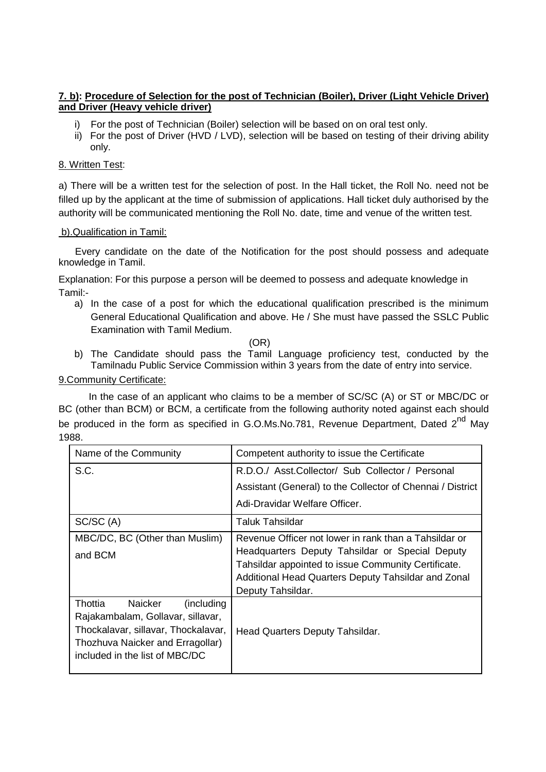# **7. b): Procedure of Selection for the post of Technician (Boiler), Driver (Light Vehicle Driver) and Driver (Heavy vehicle driver)**

- i) For the post of Technician (Boiler) selection will be based on on oral test only.
- ii) For the post of Driver (HVD / LVD), selection will be based on testing of their driving ability only.

# 8. Written Test:

a) There will be a written test for the selection of post. In the Hall ticket, the Roll No. need not be filled up by the applicant at the time of submission of applications. Hall ticket duly authorised by the authority will be communicated mentioning the Roll No. date, time and venue of the written test.

# b).Qualification in Tamil:

Every candidate on the date of the Notification for the post should possess and adequate knowledge in Tamil.

Explanation: For this purpose a person will be deemed to possess and adequate knowledge in Tamil:-

a) In the case of a post for which the educational qualification prescribed is the minimum General Educational Qualification and above. He / She must have passed the SSLC Public Examination with Tamil Medium.

(OR)

b) The Candidate should pass the Tamil Language proficiency test, conducted by the Tamilnadu Public Service Commission within 3 years from the date of entry into service.

# 9.Community Certificate:

In the case of an applicant who claims to be a member of SC/SC (A) or ST or MBC/DC or BC (other than BCM) or BCM, a certificate from the following authority noted against each should be produced in the form as specified in G.O.Ms.No.781, Revenue Department, Dated 2<sup>nd</sup> May 1988.

| Name of the Community                                                    | Competent authority to issue the Certificate                                                           |  |  |
|--------------------------------------------------------------------------|--------------------------------------------------------------------------------------------------------|--|--|
| S.C.                                                                     | R.D.O./ Asst.Collector/ Sub Collector / Personal                                                       |  |  |
|                                                                          | Assistant (General) to the Collector of Chennai / District                                             |  |  |
|                                                                          | Adi-Dravidar Welfare Officer.                                                                          |  |  |
| SC/SC (A)                                                                | Taluk Tahsildar                                                                                        |  |  |
| MBC/DC, BC (Other than Muslim)                                           | Revenue Officer not lower in rank than a Tahsildar or                                                  |  |  |
| and BCM                                                                  | Headquarters Deputy Tahsildar or Special Deputy<br>Tahsildar appointed to issue Community Certificate. |  |  |
|                                                                          | Additional Head Quarters Deputy Tahsildar and Zonal                                                    |  |  |
|                                                                          | Deputy Tahsildar.                                                                                      |  |  |
| Thottia<br>Naicker<br>(including)                                        |                                                                                                        |  |  |
| Rajakambalam, Gollavar, sillavar,<br>Thockalavar, sillavar, Thockalavar, |                                                                                                        |  |  |
| Thozhuva Naicker and Erragollar)                                         | Head Quarters Deputy Tahsildar.                                                                        |  |  |
| included in the list of MBC/DC                                           |                                                                                                        |  |  |
|                                                                          |                                                                                                        |  |  |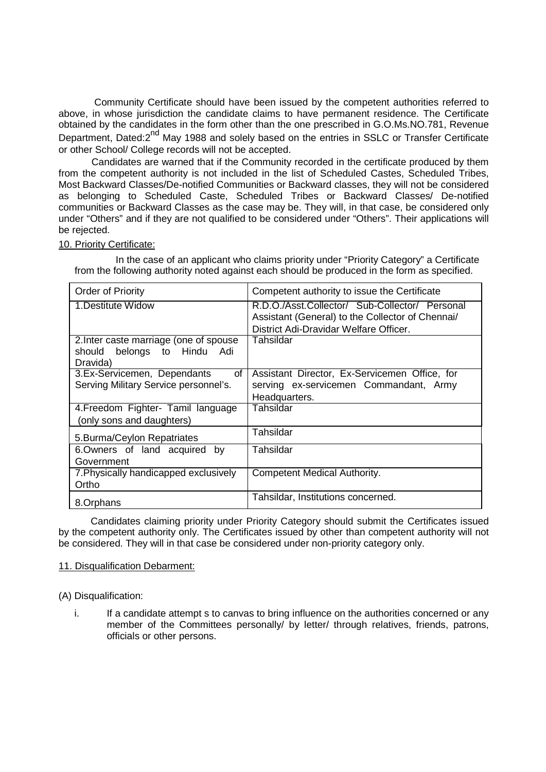Community Certificate should have been issued by the competent authorities referred to above, in whose jurisdiction the candidate claims to have permanent residence. The Certificate obtained by the candidates in the form other than the one prescribed in G.O.Ms.NO.781, Revenue Department, Dated:2<sup>nd</sup> May 1988 and solely based on the entries in SSLC or Transfer Certificate or other School/ College records will not be accepted.

Candidates are warned that if the Community recorded in the certificate produced by them from the competent authority is not included in the list of Scheduled Castes, Scheduled Tribes, Most Backward Classes/De-notified Communities or Backward classes, they will not be considered as belonging to Scheduled Caste, Scheduled Tribes or Backward Classes/ De-notified communities or Backward Classes as the case may be. They will, in that case, be considered only under "Others" and if they are not qualified to be considered under "Others". Their applications will be rejected.

#### 10. Priority Certificate:

In the case of an applicant who claims priority under "Priority Category" a Certificate from the following authority noted against each should be produced in the form as specified.

| Order of Priority                      | Competent authority to issue the Certificate     |
|----------------------------------------|--------------------------------------------------|
| 1. Destitute Widow                     | R.D.O./Asst.Collector/ Sub-Collector/ Personal   |
|                                        | Assistant (General) to the Collector of Chennai/ |
|                                        | District Adi-Dravidar Welfare Officer.           |
| 2. Inter caste marriage (one of spouse | Tahsildar                                        |
| should belongs to Hindu Adi            |                                                  |
| Dravida)                               |                                                  |
| 3.Ex-Servicemen, Dependants<br>οf      | Assistant Director, Ex-Servicemen Office, for    |
| Serving Military Service personnel's.  | serving ex-servicemen Commandant, Army           |
|                                        | Headquarters.                                    |
| 4. Freedom Fighter- Tamil language     | Tahsildar                                        |
| (only sons and daughters)              |                                                  |
| 5. Burma/Ceylon Repatriates            | Tahsildar                                        |
| 6.Owners of land acquired<br>by        | Tahsildar                                        |
| Government                             |                                                  |
| 7. Physically handicapped exclusively  | Competent Medical Authority.                     |
| Ortho                                  |                                                  |
| 8.Orphans                              | Tahsildar, Institutions concerned.               |

Candidates claiming priority under Priority Category should submit the Certificates issued by the competent authority only. The Certificates issued by other than competent authority will not be considered. They will in that case be considered under non-priority category only.

# 11. Disqualification Debarment:

(A) Disqualification:

i. If a candidate attempt s to canvas to bring influence on the authorities concerned or any member of the Committees personally/ by letter/ through relatives, friends, patrons, officials or other persons.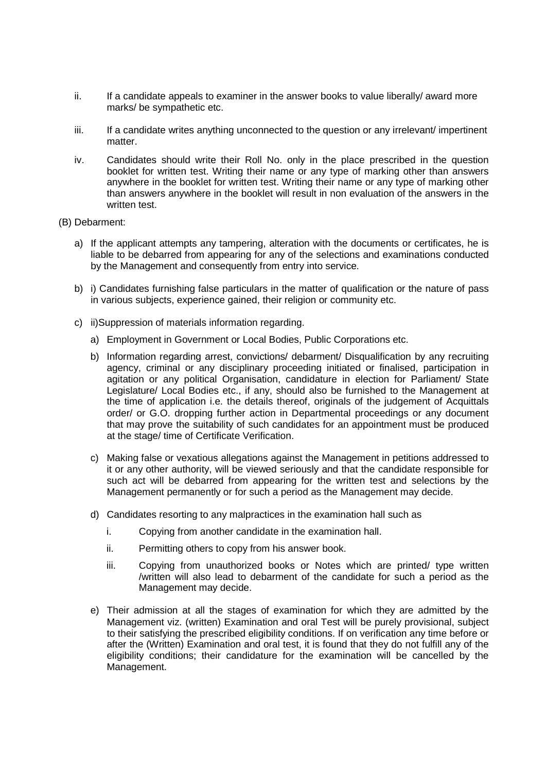- ii. If a candidate appeals to examiner in the answer books to value liberally/ award more marks/ be sympathetic etc.
- iii. If a candidate writes anything unconnected to the question or any irrelevant/ impertinent matter.
- iv. Candidates should write their Roll No. only in the place prescribed in the question booklet for written test. Writing their name or any type of marking other than answers anywhere in the booklet for written test. Writing their name or any type of marking other than answers anywhere in the booklet will result in non evaluation of the answers in the written test.
- (B) Debarment:
	- a) If the applicant attempts any tampering, alteration with the documents or certificates, he is liable to be debarred from appearing for any of the selections and examinations conducted by the Management and consequently from entry into service.
	- b) i) Candidates furnishing false particulars in the matter of qualification or the nature of pass in various subjects, experience gained, their religion or community etc.
	- c) ii)Suppression of materials information regarding.
		- a) Employment in Government or Local Bodies, Public Corporations etc.
		- b) Information regarding arrest, convictions/ debarment/ Disqualification by any recruiting agency, criminal or any disciplinary proceeding initiated or finalised, participation in agitation or any political Organisation, candidature in election for Parliament/ State Legislature/ Local Bodies etc., if any, should also be furnished to the Management at the time of application i.e. the details thereof, originals of the judgement of Acquittals order/ or G.O. dropping further action in Departmental proceedings or any document that may prove the suitability of such candidates for an appointment must be produced at the stage/ time of Certificate Verification.
		- c) Making false or vexatious allegations against the Management in petitions addressed to it or any other authority, will be viewed seriously and that the candidate responsible for such act will be debarred from appearing for the written test and selections by the Management permanently or for such a period as the Management may decide.
		- d) Candidates resorting to any malpractices in the examination hall such as
			- i. Copying from another candidate in the examination hall.
			- ii. Permitting others to copy from his answer book.
			- iii. Copying from unauthorized books or Notes which are printed/ type written /written will also lead to debarment of the candidate for such a period as the Management may decide.
		- e) Their admission at all the stages of examination for which they are admitted by the Management viz. (written) Examination and oral Test will be purely provisional, subject to their satisfying the prescribed eligibility conditions. If on verification any time before or after the (Written) Examination and oral test, it is found that they do not fulfill any of the eligibility conditions; their candidature for the examination will be cancelled by the Management.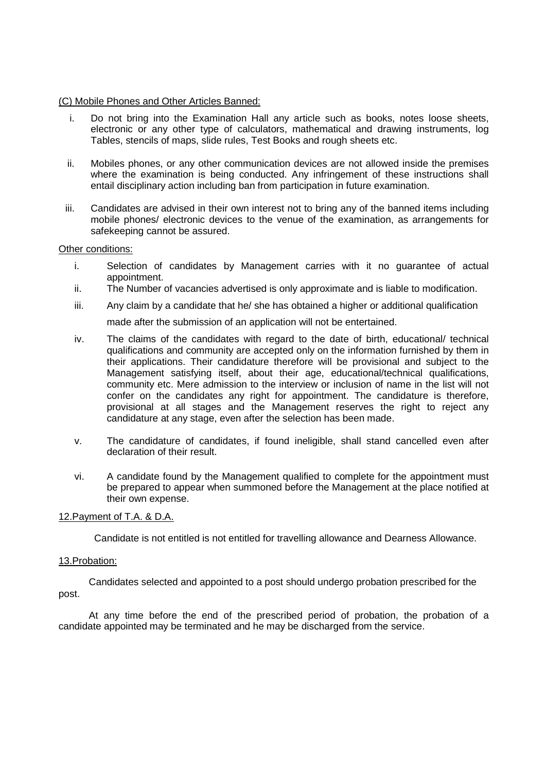#### (C) Mobile Phones and Other Articles Banned:

- i. Do not bring into the Examination Hall any article such as books, notes loose sheets, electronic or any other type of calculators, mathematical and drawing instruments, log Tables, stencils of maps, slide rules, Test Books and rough sheets etc.
- ii. Mobiles phones, or any other communication devices are not allowed inside the premises where the examination is being conducted. Any infringement of these instructions shall entail disciplinary action including ban from participation in future examination.
- iii. Candidates are advised in their own interest not to bring any of the banned items including mobile phones/ electronic devices to the venue of the examination, as arrangements for safekeeping cannot be assured.

#### Other conditions:

- i. Selection of candidates by Management carries with it no guarantee of actual appointment.
- ii. The Number of vacancies advertised is only approximate and is liable to modification.
- iii. Any claim by a candidate that he/ she has obtained a higher or additional qualification

made after the submission of an application will not be entertained.

- iv. The claims of the candidates with regard to the date of birth, educational/ technical qualifications and community are accepted only on the information furnished by them in their applications. Their candidature therefore will be provisional and subject to the Management satisfying itself, about their age, educational/technical qualifications, community etc. Mere admission to the interview or inclusion of name in the list will not confer on the candidates any right for appointment. The candidature is therefore, provisional at all stages and the Management reserves the right to reject any candidature at any stage, even after the selection has been made.
- v. The candidature of candidates, if found ineligible, shall stand cancelled even after declaration of their result.
- vi. A candidate found by the Management qualified to complete for the appointment must be prepared to appear when summoned before the Management at the place notified at their own expense.

#### 12.Payment of T.A. & D.A.

Candidate is not entitled is not entitled for travelling allowance and Dearness Allowance.

#### 13.Probation:

Candidates selected and appointed to a post should undergo probation prescribed for the post.

At any time before the end of the prescribed period of probation, the probation of a candidate appointed may be terminated and he may be discharged from the service.